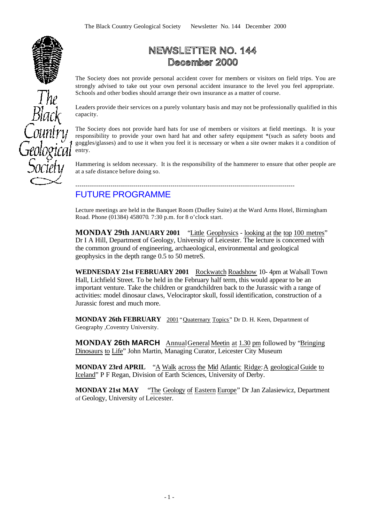

# NEWSLETTER NO. 144 December 2000

The Society does not provide personal accident cover for members or visitors on field trips. You are strongly advised to take out your own personal accident insurance to the level you feel appropriate. Schools and other bodies should arrange their own insurance as a matter of course.

Leaders provide their services on a purely voluntary basis and may not be professionally qualified in this capacity.

The Society does not provide hard hats for use of members or visitors at field meetings. It is your responsibility to provide your own hard hat and other safety equipment \*(such as safety boots and goggles/glasses) and to use it when you feel it is necessary or when a site owner makes it a condition of entry.

Hammering is seldom necessary. It is the responsibility of the hammerer to ensure that other people are at a safe distance before doing so.

### ---------------------------------------------------------------------------------------------------------- FUTURE PROGRAMME

Lecture meetings are held in the Banquet Room (Dudley Suite) at the Ward Arms Hotel, Birmingham Road. Phone (01384) 458070*.* 7:30 p.m. for 8 o'clock start.

**MONDAY 29th JANUARY 2001** "Little Geophysics - looking at the top 100 metres" Dr I A Hill, Department of Geology, University of Leicester. The lecture is concerned with the common ground of engineering, archaeological, environmental and geological geophysics in the depth range 0.5 to 50 metreS.

WEDNESDAY 21st FEBRUARY 2001 Rockwatch Roadshow 10- 4pm at Walsall Town Hall, Lichfield Street. To be held in the February half term, this would appear to be an important venture. Take the children or grandchildren back to the Jurassic with a range of activities: model dinosaur claws, Velociraptor skull, fossil identification, construction of a Jurassic forest and much more.

**MONDAY 26th FEBRUARY** 2001 "Quaternary Topics" Dr D. H. Keen, Department of Geography ,Coventry University.

**MONDAY 26th MARCH** AnnualGeneralMeetin at 1.30 pm followed by "Bringing Dinosaurs to Life" John Martin, Managing Curator, Leicester City Museum

**MONDAY 23rd APRIL** "A Walk across the Mid Atlantic Ridge:A geologicalGuide to Iceland" P F Regan, Division of Earth Sciences, University of Derby.

**MONDAY 21st MAY** "The Geology of Eastern Europe" Dr Jan Zalasiewicz, Department of Geology, University of Leicester.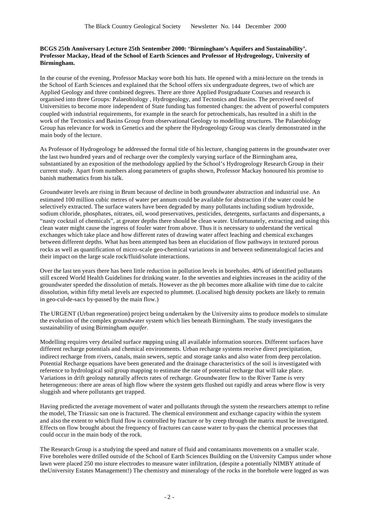### **BCGS 25th Anniversary Lecture 25th Sentember 2000: 'Birmingham's Aquifers and Sustainability'. Professor Mackay, Head of the School of Earth Sciences and Professor of Hydrogeology, University of Birmingham.**

In the course of the evening, Professor Mackay wore both his hats. He opened with a mini-lecture on the trends in the School of Earth Sciences and explained that the School offers six undergraduate degrees, two of which are Applied Geology and three combined degrees. There are three Applied Postgraduate Courses and research is organised into three Groups: Palaeobiology , Hydrogeology, and Tectonics and Basins. The perceived need of Universities to become more independent of State funding has fomented changes: the advent of powerful computers coupled with industrial requirements, for example in the search for petrochemicals, has resulted in a shift in the work of the Tectonics and Basins Group from observational Geology to modelling structures. The Palaeobiology Group has relevance for work in Genetics and the sphere the Hydrogeology Group was clearly demonstrated in the main body of the lecture.

As Professor of Hydrogeology he addressed the formal title of his lecture, changing patterns in the groundwater over the last two hundred years and of recharge over the complexly varying surface of the Birmingham area, substantiated by an exposition of the methodology applied by the School's Hydrogeology Research Group in their current study. Apart from numbers along parameters of graphs shown, Professor Mackay honoured his promise to banish mathematics from his talk.

Groundwater levels are rising in Brum because of decline in both groundwater abstraction and industrial use. An estimated 100 million cubic metres of water per annum could be available for abstraction if the water could be selectively extracted. The surface waters have been degraded by many pollutants including sodium hydroxide, sodium chloride, phosphates, nitrates, oil, wood preservatives, pesticides, detergents, surfactants and dispersants, a "nasty cocktail of chemicals", at greater depths there should be clean water. Unfortunately, extracting and using this clean water might cause the ingress of fouler water from above. Thus it is necessary to understand the vertical exchanges which take place and how different rates of drawing water affect leaching and chemical exchanges between different depths. What has been attempted has been an elucidation of flow pathways in textured porous rocks as well as quantification of micro-scale geo-chemical variations in and between sedimentalogical facies and their impact on the large scale rock/fluid/solute interactions.

Over the last ten years there has been little reduction in pollution levels in boreholes. 40% of identified pollutants still exceed World Health Guidelines for drinking water. In the seventies and eighties increases in the acidity of the groundwater speeded the dissolution of metals. However as the ph becomes more alkaline with time due to calcite dissolution, within fifty metal levels are expected to plummet. (Localised high density pockets are likely to remain in geo-cul-de-sacs by-passed by the main flow.)

The URGENT (Urban regeneration) project being undertaken by the University aims to produce models to simulate the evolution of the complex groundwater system which lies beneath Birmingham. The study investigates the sustainability of using Birmingham *aquifer.*

Modelling requires very detailed surface mapping using all available information sources. Different surfaces have different recharge potentials and chemical environments. Urban recharge systems receive direct precipitation, indirect recharge from rivers, canals, main sewers, septic and storage tanks and also water from deep percolation. Potential Recharge equations have been generated and the drainage characteristics of the soil is investigated with reference to hydrological soil group mapping to estimate the rate of potential recharge that will take place. Variations in drift geology naturally affects rates of recharge. Groundwater flow to the River Tame is very heterogeneous: there are areas of high flow where the system gets flushed out rapidly and areas where flow is very sluggish and where pollutants get trapped.

Having predicted the average movement of water and pollutants through the system the researchers attempt to refine the model, The Triassic san one is fractured. The chemical environment and exchange capacity within the system and also the extent to which fluid flow is controlled by fracture or by creep through the matrix must be investigated. Effects on flow brought about the frequency of fractures can cause water to by-pass the chemical processes that could occur in the main body of the rock.

The Research Group is a studying the speed and nature of fluid and contaminants movements on a smaller scale. Five boreholes were drilled outside of the School of Earth Sciences Building on the University Campus under whose lawn were placed 250 mo isture electrodes to measure water infiltration, (despite a potentially NIMBY attitude of theUniversity Estates Management!) The chemistry and mineralogy of the rocks in the borehole were logged as was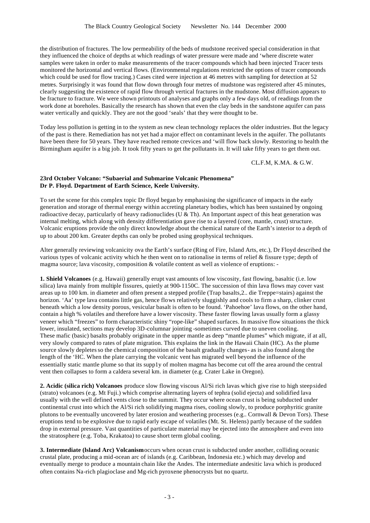the distribution of fractures. The low permeability of the beds of mudstone received special consideration in that they influenced the choice of depths at which readings of water pressure were made and 'where discrete water samples were taken in order to make measurements of the tracer compounds which had been injected Tracer tests monitored the horizontal and vertical flows. (Environmental regulations restricted the options of tracer compounds which could be used for flow tracing.) Cases cited were injection at 46 metres with sampling for detection at 52 metres. Surprisingly it was found that flow down through four metres of mudstone was registered after 45 minutes, clearly suggesting the existence of rapid flow through vertical fractures in the mudstone. Most diffusion appears to be fracture to fracture. We were shown printouts of analyses and graphs only a few days old, of readings from the work done at boreholes. Basically the research has shown that even the clay beds in the sandstone aquifer can pass water vertically and quickly. They are not the good 'seals' that they were thought to be.

Today less pollution is getting in to the system as new clean technology replaces the older industries. But the legacy of the past is there. Remediation has not yet had a major effect on contaminant levels in the aquifer. The pollutants have been there for 50 years. They have reached remote crevices and 'will flow back slowly. Restoring to health the Birmingham aquifer is a big job. It took fifty years to get the pollutants in. It will take fifty years to get them out.

### CL.F.M, K.MA. & G.W.

### **23rd October Volcano: "Subaerial and Submarine Volcanic Phenomena" Dr P. Floyd. Department of Earth Science, Keele University.**

To set the scene for this complex topic Dr floyd began by emphasising the significance of impacts in the early generation and storage of thermal energy within accreting planetary bodies, which has been sustained by ongoing radioactive decay, particularly of heavy radionuclides (U & Th). An Important aspect of this heat generation was internal melting, which along with density differentiation gave rise to a layered (core, mantle, crust) structure. Volcanic eruptions provide the only direct knowledge about the chemical nature of the Earth's interior to a depth of up to about 200 km. Greater depths can only be probed using geophysical techniques.

Alter generally reviewing volcanicity ova the Earth's surface (Ring of Fire, Island Arts, etc.), Dr Floyd described the various types of volcanic activity which he then went on to rationalise in terms of relief & fissure type; depth of magma source; lava viscosity, composition & volatile content as well as violence of eruptions: -

**1. Shield Volcanoes** (e.g. Hawaii) generally erupt vast amounts of low viscosity, fast flowing, basaltic (i.e. low silica) lava mainly from multiple fissures, quietly at 900-1150C. The succession of thin lava flows may cover vast areas up to 100 km. in diameter and often present a stepped profile (Trap basalts,2.. die Treppe=stairs) against the horizon. 'Aa' type lava contains little gas, hence flows relatively sluggishly and cools to firm a sharp, clinker crust beneath which a low density porous, vesicular basalt is often to be found. 'Pahoehoe' lava flows, on the other hand, contain a high % volatiles and therefore have a lower viscosity. These faster flowing lavas usually form a glassy veneer which "freezes" to form characteristic shiny "rope-like" shaped surfaces. In massive flow situations the thick lower, insulated, sections may develop 3D-columnar jointing -sometimes curved due to uneven cooling. These mafic (basic) basalts probably originate in the upper mantle as deep "mantle plumes" which migrate, if at all, very slowly compared to rates of plate migration. This explains the link in the Hawaii Chain (HC). As the plume source slowly depletes so the chemical composition of the basalt gradually changes- as is also found along the length of the 'HC. When the plate carrying the volcanic vent has migrated well beyond the influence of the essentially static mantle plume so that its supp1y of molten magma has become cut off the area around the central vent then collapses to form a caldera several km. in diameter (e.g. Crater Lake in Oregon).

**2. Acidic (silica rich) Volcanoes** produce slow flowing viscous Al/Si rich lavas which give rise to high steep sided (strato) volcanoes (e.g. Mt Fuji.) which comprise alternating layers of tephra (solid ejecta) and solidified lava usually with the well defined vents close to the summit. They occur where ocean crust is being subducted under continental crust into which the Al/Si rich solidifying magma rises, cooling slowly, to produce porphyritic granite plutons to be eventually uncovered by later erosion and weathering processes (e.g.. Cornwall & Devon Tors). These eruptions tend to be explosive due to rapid early escape of volatiles (Mt. St. Helens) partly because of the sudden drop in external pressure. Vast quantities of particulate material may be ejected into the atmosphere and even into the stratosphere (e.g. Toba, Krakatoa) to cause short term global cooling.

**3. Intermediate (lsland Arc) Volcanism** occurs when ocean crust is subducted under another, colliding oceanic crustal plate, producing a mid-ocean arc of islands (e.g. Caribbean, Indonesia etc.) which may develop and eventually merge to produce a mountain chain like the Andes. The intermediate andesitic lava which is produced often contains Na-rich plagioclase and Mg-rich pyroxene phenocrysts but no quartz.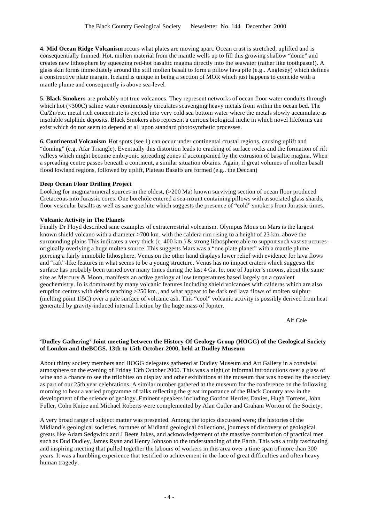**4. Mid Ocean Ridge Volcanism** occurs what plates are moving apart. Ocean crust is stretched, uplifted and is consequentially thinned. Hot, molten material from the mantle wells up to fill this growing shallow "dome" and creates new lithosphere by squeezing red-hot basaltic magma directly into the seawater (rather like toothpaste!). A glass skin forms immediately around the still molten basalt to form a pillow lava pile (e.g.. Anglesey) which defines a constructive plate margin. Iceland is unique in being a section of MOR which just happens to coincide with a mantle plume and consequently is above sea-level.

**5. Black Smokers** are probably not true volcanoes. They represent networks of ocean floor water conduits through which hot (<300C) saline water continuously circulates scavenging heavy metals from within the ocean bed. The Cu/Zn/etc. metal rich concentrate is ejected into very cold sea bottom water where the metals slowly accumulate as insoluble sulphide deposits. Black Smokers also represent a curious biological niche in which novel lifeforms can exist which do not seem to depend at all upon standard photosynthetic processes.

**6. Continental Volcanism** Hot spots (see 1) can occur under continental crustal regions, causing uplift and "doming" (e.g. Afar Triangle). Eventually this distortion leads to cracking of surface rocks and the formation of rift valleys which might become embryonic spreading zones if accompanied by the extrusion of basaltic magma. When a spreading centre passes beneath a continent, a similar situation obtains. Again, if great volumes of molten basalt flood lowland regions, followed by uplift, Plateau Basalts are formed (e.g.. the Deccan)

### **Deep Ocean Floor Drilling Project**

Looking for magma/mineral sources in the oldest, (>200 Ma) known surviving section of ocean floor produced Cretaceous into Jurassic cores. One borehole entered a sea-mount containing pillows with associated glass shards, floor vesicular basalts as well as sane goethite which suggests the presence of "cold" smokers from Jurassic times.

### **Volcanic Activity in The Planets**

Finally Dr Floyd described sane examples of extraterrestrial volcanism. Olympus Mons on Mars is the largest known shield volcano with a diameter >700 km. with the caldera rim rising to a height of 23 km. above the surrounding plains This indicates a very thick (c. 400 km.) & strong lithosphere able to support such vast structuresoriginally overlying a huge molten source. This suggests Mars was a "one plate planet" with a mantle plume piercing a fairly immobile lithosphere. Venus on the other hand displays lower relief with evidence for lava flows and "raft"-like features in what seems to be a young structure. Venus has no impact craters which suggests the surface has probably been turned over many times during the last 4 Ga. Io, one of Jupiter's moons, about the same size as Mercury & Moon, manifests an active geology at low temperatures based largely on a covalent geochemistry. Io is dominated by many volcanic features including shield volcanoes with calderas which are also eruption centres with debris reaching >250 km., and what appear to be dark red lava flows of molten sulphur (melting point 1l5C) over a pale surface of volcanic ash. This "cool" volcanic activity is possibly derived from heat generated by gravity-induced internal friction by the huge mass of Jupiter.

Alf Cole

### **'Dudley Gathering' Joint meeting between the History Of Geology Group (HOGG) of the Geological Society of London and theBCGS. 13th to 15th October 2000, held at Dudley Museum**

About thirty society members and HOGG delegates gathered at Dudley Museum and Art Gallery in a convivial atmosphere on the evening of Friday 13th October 2000. This was a night of informal introductions over a glass of wine and a chance to see the trilobites on display and other exhibitions at the museum that was hosted by the society as part of our 25th year celebrations. A similar number gathered at the museum for the conference on the following morning to hear a varied programme of talks reflecting the great importance of the Black Country area in the development of the science of geology. Eminent speakers including Gordon Herries Davies, Hugh Torrens, John Fuller, Cohn Knipe and Michael Roberts were complemented by Alan Cutler and Graham Worton of the Society.

A very broad range of subject matter was presented. Among the topics discussed were; the histories of the Midland's geological societies, fortunes of Midland geological collections, journeys of discovery of geological greats like Adam Sedgwick and J Beete Jukes, and acknowledgement of the massive contribution of practical men such as Dud Dudley, James Ryan and Henry Johnson to the understanding of the Earth. This was a truly fascinating and inspiring meeting that pulled together the labours of workers in this area over a time span of more than 300 years. It was a humbling experience that testified to achievement in the face of great difficulties and often heavy human tragedy.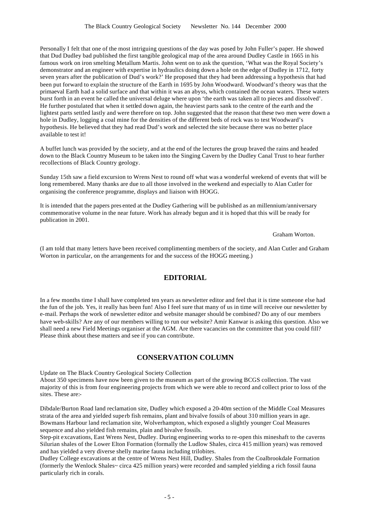Personally I felt that one of the most intriguing questions of the day was posed by John Fuller's paper. He showed that Dud Dudley bad published the first tangible geological map of the area around Dudley Castle in 1665 in his famous work on iron smelting Metallum Martis. John went on to ask the question, 'What was the Royal Society's demonstrator and an engineer with expertise in hydraulics doing down a hole on the edge of Dudley in 1712, forty seven years after the publication of Dud's work?' He proposed that they had been addressing a hypothesis that had been put forward to explain the structure of the Earth in 1695 by John Woodward. Woodward's theory was that the primaeval Earth had a solid surface and that within it was an abyss, which contained the ocean waters. These waters burst forth in an event he called the universal deluge where upon 'the earth was taken all to pieces and dissolved'. He further postulated that when it settled down again, the heaviest parts sank to the centre of the earth and the lightest parts settled lastly and were therefore on top. John suggested that the reason that these two men were down a hole in Dudley, logging a coal mine for the densities of the different beds of rock was to test Woodward's hypothesis. He believed that they had read Dud's work and selected the site because there was no better place available to test it!

A buffet lunch was provided by the society, and at the end of the lectures the group braved the rains and headed down to the Black Country Museum to be taken into the Singing Cavern by the Dudley Canal Trust to hear further recollections of Black Country geology.

Sunday 15th saw a field excursion to Wrens Nest to round off what was a wonderful weekend of events that will be long remembered. Many thanks are due to all those involved in the weekend and especially to Alan Cutler for organising the conference programme, displays and liaison with HOGG.

It is intended that the papers pres ented at the Dudley Gathering will be published as an millennium/anniversary commemorative volume in the near future. Work has already begun and it is hoped that this will be ready for publication in 2001.

Graham Worton.

(I am told that many letters have been received complimenting members of the society, and Alan Cutler and Graham Worton in particular, on the arrangements for and the success of the HOGG meeting.)

### **EDITORIAL**

In a few months time I shall have completed ten years as newsletter editor and feel that it is time someone else had the fun of the job. Yes, it really has been fun! Also I feel sure that many of us in time will receive our newsletter by e-mail. Perhaps the work of newsletter editor and website manager should be combined? Do any of our members have web-skills? Are any of our members willing to run our website? Amir Kanwar is asking this question. Also we shall need a new Field Meetings organiser at the AGM. Are there vacancies on the committee that you could fill? Please think about these matters and see if you can contribute.

### **CONSERVATION COLUMN**

Update on The Black Country Geological Society Collection About 350 specimens have now been given to the museum as part of the growing BCGS collection. The vast majority of this is from four engineering projects from which we were able to record and collect prior to loss of the sites. These are:-

Dibdale/Burton Road land reclamation site, Dudley which exposed a 20-40m section of the Middle Coal Measures strata of the area and yielded superb fish remains, plant and bivalve fossils of about 310 million years in age. Bowmans Harbour land reclamation site, Wolverhampton, which exposed a slightly younger Coal Measures sequence and also yielded fish remains, plain and bivalve fossils.

Step-pit excavations, East Wrens Nest, Dudley. During engineering works to re-open this mineshaft to the caverns Silurian shales of the Lower Elton Formation (formally the Ludlow Shales, circa 415 million years) was removed and has yielded a very diverse shelly marine fauna including trilobites.

Dudley College excavations at the centre of Wrens Nest Hill, Dudley. Shales from the Coalbrookdale Formation (formerly the Wenlock Shales~ circa 425 million years) were recorded and sampled yielding a rich fossil fauna particularly rich in corals.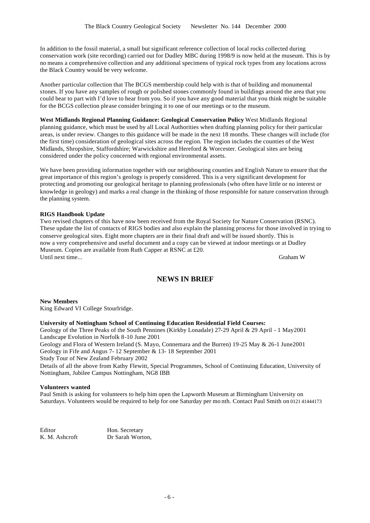In addition to the fossil material, a small but significant reference collection of local rocks collected during conservation work (site recording) carried out for Dudley MBC during 1998/9 is now held at the museum. This is by no means a comprehensive collection and any additional specimens of typical rock types from any locations across the Black Country would be very welcome.

Another particular collection that The BCGS membership could help with is that of building and monumental stones. If you have any samples of rough or polished stones commonly found in buildings around the area that you could bear to part with I'd love to hear from you. So if you have any good material that you think might be suitable for the BCGS collection please consider bringing it to one of our meetings or to the museum.

**West Midlands Regional Planning Guidance: Geological Conservation Policy** West Midlands Regional planning guidance, which must be used by all Local Authorities when drafting planning policy for their particular areas, is under review. Changes to this guidance will be made in the next 18 months. These changes will include (for the first time) consideration of geological sites across the region. The region includes the counties of the West Midlands, Shropshire, Staffordshire; Warwickshire and Hereford & Worcester. Geological sites are being considered under the policy concerned with regional environmental assets.

We have been providing information together with our neighbouring counties and English Nature to ensure that the great importance of this region's geology is properly considered. This is a very significant development for protecting and promoting our geological heritage to planning professionals (who often have little or no interest or knowledge in geology) and marks a real change in the thinking of those responsible for nature conservation through the planning system.

### **RIGS Handbook Update**

Two revised chapters of this have now been received from the Royal Society for Nature Conservation (RSNC). These update the list of contacts of RIGS bodies and also explain the planning process for those involved in trying to conserve geological sites. Eight more chapters are in their final draft and will be issued shortly. This is now a very comprehensive and useful document and a copy can be viewed at indoor meetings or at Dudley Museum. Copies are available from Ruth Capper at RSNC at £20. Until next time... Graham W

## **NEWS IN BRIEF**

**New Members**

King Edward VI College Stourlridge.

### **University of Nottingham School of Continuing Education Residential Field Courses:**

Geology of the Three Peaks of the South Pennines (Kirkby Lonadale) 27-29 April & 29 April - 1 May2001 Landscape Evolution in Norfolk 8-10 June 2001

Geology and Flora of Western Ireland (S. Mayo, Connemara and the Burren) 19-25 May & 26-1 June2001 Geology in Fife and Angus 7- 12 September & 13- 18 September 2001

Study Tour of New Zealand February 2002

Details of all the above from Kathy Flewitt, Special Programmes, School of Continuing Education, University of Nottingham, Jubilee Campus Nottingham, NG8 IBB

### **Volunteers wanted**

Paul Smith is asking for volunteers to help him open the Lapworth Museum at Birmingham University on Saturdays. Volunteers would be required to help for one Saturday per mo nth. Contact Paul Smith on 0121 41444173

Editor Hon. Secretary K. M. Ashcroft Dr Sarah Worton,